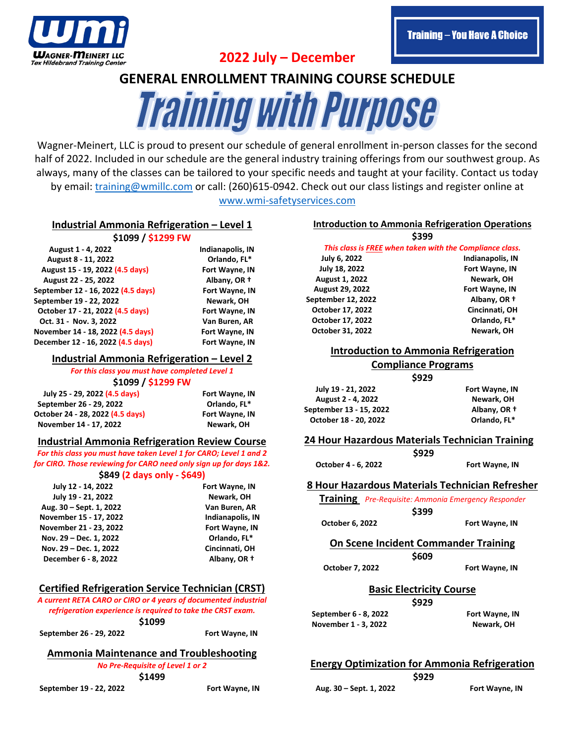

**2022 July – December**

### **Training - You Have A Choice**

# **GENERAL ENROLLMENT TRAINING COURSE SCHEDULE Training Wil**

Wagner-Meinert, LLC is proud to present our schedule of general enrollment in-person classes for the second half of 2022. Included in our schedule are the general industry training offerings from our southwest group. As always, many of the classes can be tailored to your specific needs and taught at your facility. Contact us today by email: [training@wmillc.com](mailto:training@wmillc.com) or call: (260)615-0942. Check out our class listings and register online at [www.wmi-safetyservices.com](http://www.wmi-safetyservices.com/)

#### **Industrial Ammonia Refrigeration – Level 1**

**\$1099 / \$1299 FW**

 **August 1 - 4, 2022 Indianapolis, IN August 8 - 11, 2022 Orlando, FL\* August 15 - 19, 2022 (4.5 days) Fort Wayne, IN August 22 - 25, 2022 Albany, OR † September 12 - 16, 2022 (4.5 days) Fort Wayne, IN September 19 - 22, 2022 Newark, OH October 17 - 21, 2022 (4.5 days) Fort Wayne, IN Oct. 31 - Nov. 3, 2022 Van Buren, AR November 14 - 18, 2022 (4.5 days) Fort Wayne, IN December <sup>12</sup> - 16, 2022 (4.5 days) Fort Wayne, IN** 

#### **Industrial Ammonia Refrigeration – Level 2**

*For this class you must have completed Level 1*

**\$1099 / \$1299 FW**

 **July 25 - 29, 2022 (4.5 days) Fort Wayne, IN September 26 - 29, 2022 Orlando, FL\* October 24 - 28, 2022 (4.5 days) Fort Wayne, IN November <sup>14</sup> - 17, 2022 Newark, OH** 

### **Industrial Ammonia Refrigeration Review Course**

*For this class you must have taken Level 1 for CARO; Level 1 and 2 for CIRO. Those reviewing for CARO need only sign up for days 1&2.*

#### **\$849 (2 days only - \$649)**

| July 12 - 14, 2022      | Fort Wayne, IN          |
|-------------------------|-------------------------|
| July 19 - 21, 2022      | Newark, OH              |
| Aug. 30 - Sept. 1, 2022 | Van Buren, AR           |
| November 15 - 17, 2022  | <b>Indianapolis, IN</b> |
| November 21 - 23, 2022  | Fort Wayne, IN          |
| Nov. 29 - Dec. 1, 2022  | Orlando, FL*            |
| Nov. 29 - Dec. 1, 2022  | Cincinnati, OH          |
| December 6 - 8, 2022    | Albany, OR +            |

### **Certified Refrigeration Service Technician (CRST)**

*A current RETA CARO or CIRO or 4 years of documented industrial refrigeration experience is required to take the CRST exam.* **\$1099 September 26 - 29, 2022 Fort Wayne, IN**

#### **Ammonia Maintenance and Troubleshooting** *No Pre-Requisite of Level 1 or 2*

**\$1499**

 **September 19 - 22, 2022 Fort Wayne, IN**

#### **Introduction to Ammonia Refrigeration Operations \$399**

| ーーー                                                      |  |
|----------------------------------------------------------|--|
| This class is FREE when taken with the Compliance class. |  |

 **July 6, 2022 Indianapolis, IN July 18, 2022 Fort Wayne, IN August 1, 2022 Newark, OH August 29, 2022 Fort Wayne, IN September 12, 2022 Albany, OR † October 17, 2022 Cincinnati, OH October 17, 2022 Orlando, FL\* October 31, 2022** Newark, OH

#### **Introduction to Ammonia Refrigeration**

#### **Compliance Programs**

|                         | \$929 |                |
|-------------------------|-------|----------------|
| July 19 - 21, 2022      |       | Fort Wayne, IN |
| August 2 - 4, 2022      |       | Newark, OH     |
| September 13 - 15, 2022 |       | Albany, OR +   |
| October 18 - 20, 2022   |       | Orlando, FL*   |

**24 Hour Hazardous Materials Technician Training**

**\$929**

 **October 4 - 6, 2022 Fort Wayne, IN**

#### **8 Hour Hazardous Materials Technician Refresher**

**Training** *Pre-Requisite: Ammonia Emergency Responder* **\$399**

**October 6, 2022 Fort Wayne, IN** 

**On Scene Incident Commander Training \$609**

**October 7, 2022** Fort Wayne, IN

**Basic Electricity Course**

**\$929**

 **September 6 - 8, 2022 Fort Wayne, IN November 1 - 3, 2022 Newark, OH**

### **Energy Optimization for Ammonia Refrigeration**

**\$929**

 **Aug. 30 – Sept. 1, 2022 Fort Wayne, IN**